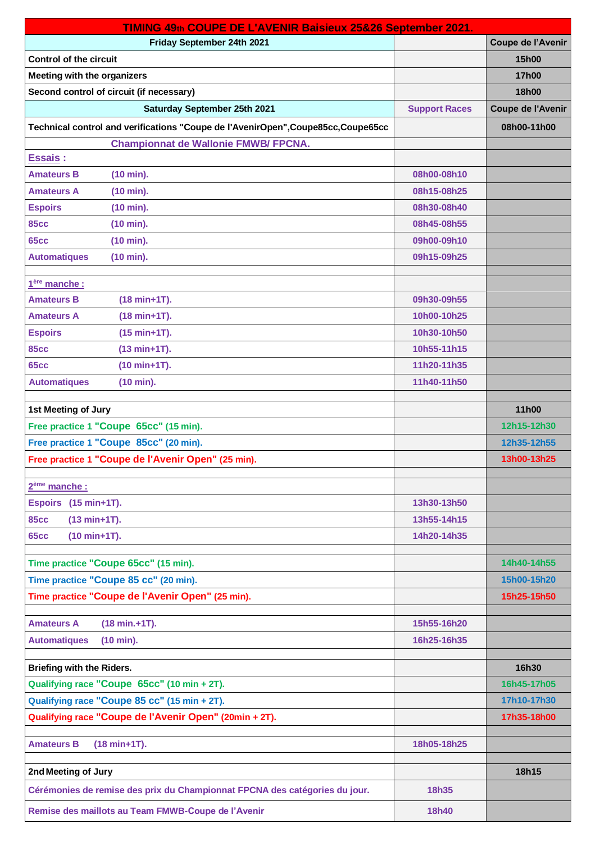| TIMING 49th COUPE DE L'AVENIR Baisieux 25&26 September 2021.                      |                      |                   |  |
|-----------------------------------------------------------------------------------|----------------------|-------------------|--|
| Friday September 24th 2021                                                        |                      | Coupe de l'Avenir |  |
| <b>Control of the circuit</b>                                                     |                      | 15h00             |  |
| <b>Meeting with the organizers</b>                                                |                      | 17h00             |  |
| Second control of circuit (if necessary)                                          |                      | <b>18h00</b>      |  |
| Saturday September 25th 2021                                                      | <b>Support Races</b> | Coupe de l'Avenir |  |
| Technical control and verifications "Coupe de l'AvenirOpen", Coupe85cc, Coupe65cc |                      | 08h00-11h00       |  |
| <b>Championnat de Wallonie FMWB/ FPCNA.</b>                                       |                      |                   |  |
| <b>Essais:</b>                                                                    |                      |                   |  |
| <b>Amateurs B</b><br>(10 min).                                                    | 08h00-08h10          |                   |  |
| <b>Amateurs A</b><br>(10 min).                                                    | 08h15-08h25          |                   |  |
| <b>Espoirs</b><br>(10 min).                                                       | 08h30-08h40          |                   |  |
| <b>85cc</b><br>(10 min).                                                          | 08h45-08h55          |                   |  |
| <b>65cc</b><br>(10 min).                                                          | 09h00-09h10          |                   |  |
| <b>Automatiques</b><br>(10 min).                                                  | 09h15-09h25          |                   |  |
| 1 <sup>ère</sup> manche :                                                         |                      |                   |  |
| <b>Amateurs B</b><br>(18 min+1T).                                                 | 09h30-09h55          |                   |  |
| <b>Amateurs A</b><br>(18 min+1T).                                                 | 10h00-10h25          |                   |  |
| <b>Espoirs</b><br>$(15 min+1T).$                                                  | 10h30-10h50          |                   |  |
| <b>85cc</b><br>$(13 min+1T).$                                                     | 10h55-11h15          |                   |  |
| <b>65cc</b><br>$(10 min+1T)$ .                                                    | 11h20-11h35          |                   |  |
| <b>Automatiques</b><br>(10 min).                                                  | 11h40-11h50          |                   |  |
| 1st Meeting of Jury                                                               |                      | 11h00             |  |
| Free practice 1 "Coupe 65cc" (15 min).                                            |                      | 12h15-12h30       |  |
| Free practice 1 "Coupe 85cc" (20 min).                                            |                      | 12h35-12h55       |  |
| Free practice 1 "Coupe de l'Avenir Open" (25 min).                                |                      | 13h00-13h25       |  |
|                                                                                   |                      |                   |  |
| 2 <sup>ème</sup> manche :                                                         |                      |                   |  |
| Espoirs (15 min+1T).                                                              | 13h30-13h50          |                   |  |
| <b>85cc</b><br>$(13 min+1T)$ .                                                    | 13h55-14h15          |                   |  |
| <b>65cc</b><br>$(10 min+1T).$                                                     | 14h20-14h35          |                   |  |
| Time practice "Coupe 65cc" (15 min).                                              |                      | 14h40-14h55       |  |
| Time practice "Coupe 85 cc" (20 min).                                             |                      | 15h00-15h20       |  |
| Time practice "Coupe de l'Avenir Open" (25 min).                                  |                      | 15h25-15h50       |  |
| <b>Amateurs A</b><br>$(18 min.+1T).$                                              | 15h55-16h20          |                   |  |
| <b>Automatiques</b><br>(10 min).                                                  | 16h25-16h35          |                   |  |
|                                                                                   |                      |                   |  |
| Briefing with the Riders.                                                         |                      | 16h30             |  |
| Qualifying race "Coupe 65cc" (10 min + 2T).                                       |                      | 16h45-17h05       |  |
| Qualifying race "Coupe 85 cc" (15 min + 2T).                                      |                      | 17h10-17h30       |  |
| Qualifying race "Coupe de l'Avenir Open" (20min + 2T).                            |                      | 17h35-18h00       |  |
| $(18 min+1T).$<br><b>Amateurs B</b>                                               | 18h05-18h25          |                   |  |
| 2nd Meeting of Jury                                                               |                      | 18h15             |  |
| Cérémonies de remise des prix du Championnat FPCNA des catégories du jour.        | 18h35                |                   |  |
| Remise des maillots au Team FMWB-Coupe de l'Avenir                                | <b>18h40</b>         |                   |  |